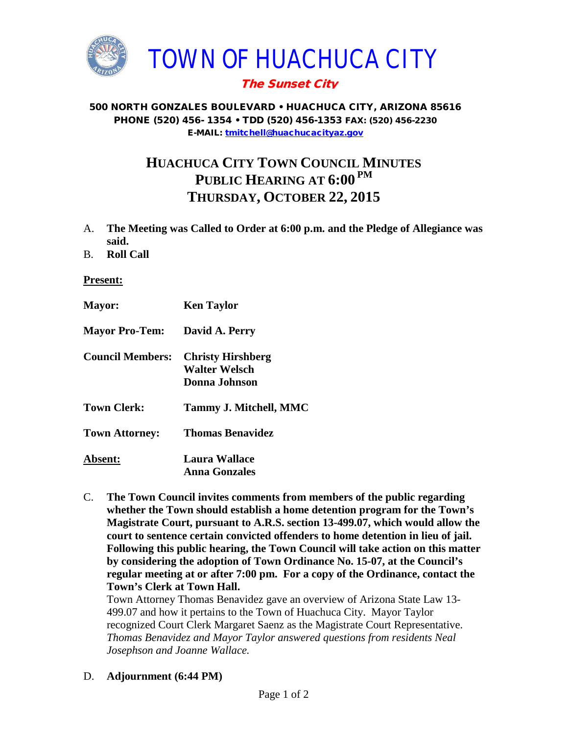

## The Sunset City

#### 500 NORTH GONZALES BOULEVARD • HUACHUCA CITY, ARIZONA 85616 PHONE (520) 456- 1354 • TDD (520) 456-1353 FAX: (520) 456-2230 E-MAIL: [tmitchell@huachucacityaz.gov](mailto:tmitchell@huachucacityaz.gov)

# **HUACHUCA CITY TOWN COUNCIL MINUTES PUBLIC HEARING AT 6:00 PM THURSDAY, OCTOBER 22, 2015**

- A. **The Meeting was Called to Order at 6:00 p.m. and the Pledge of Allegiance was said.**
- B. **Roll Call**

### **Present:**

| <b>Mayor:</b>           | <b>Ken Taylor</b>                                          |
|-------------------------|------------------------------------------------------------|
| <b>Mayor Pro-Tem:</b>   | David A. Perry                                             |
| <b>Council Members:</b> | <b>Christy Hirshberg</b><br>Walter Welsch<br>Donna Johnson |
| <b>Town Clerk:</b>      | Tammy J. Mitchell, MMC                                     |
| <b>Town Attorney:</b>   | <b>Thomas Benavidez</b>                                    |
| <b>Absent:</b>          | <b>Laura Wallace</b><br><b>Anna Gonzales</b>               |

C. **The Town Council invites comments from members of the public regarding whether the Town should establish a home detention program for the Town's Magistrate Court, pursuant to A.R.S. section 13-499.07, which would allow the court to sentence certain convicted offenders to home detention in lieu of jail. Following this public hearing, the Town Council will take action on this matter by considering the adoption of Town Ordinance No. 15-07, at the Council's regular meeting at or after 7:00 pm. For a copy of the Ordinance, contact the Town's Clerk at Town Hall.**

Town Attorney Thomas Benavidez gave an overview of Arizona State Law 13- 499.07 and how it pertains to the Town of Huachuca City. Mayor Taylor recognized Court Clerk Margaret Saenz as the Magistrate Court Representative. *Thomas Benavidez and Mayor Taylor answered questions from residents Neal Josephson and Joanne Wallace.* 

D. **Adjournment (6:44 PM)**